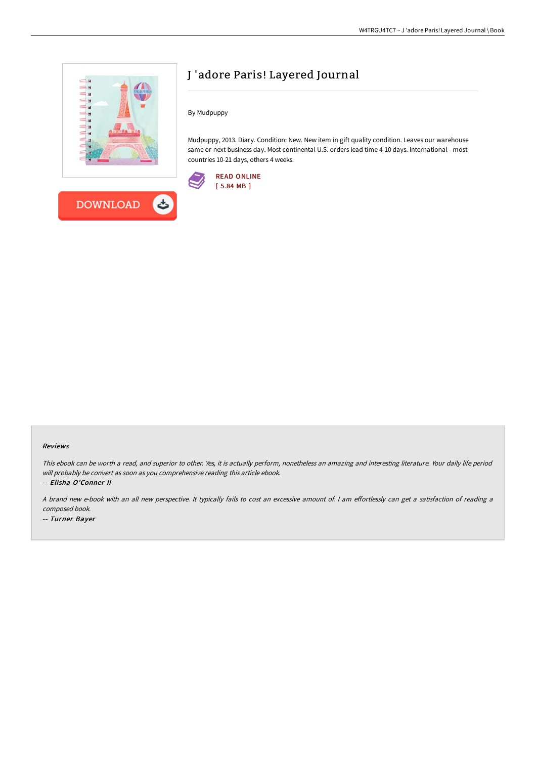



## J 'adore Paris! Layered Journal

By Mudpuppy

Mudpuppy, 2013. Diary. Condition: New. New item in gift quality condition. Leaves our warehouse same or next business day. Most continental U.S. orders lead time 4-10 days. International - most countries 10-21 days, others 4 weeks.



## Reviews

This ebook can be worth <sup>a</sup> read, and superior to other. Yes, it is actually perform, nonetheless an amazing and interesting literature. Your daily life period will probably be convert as soon as you comprehensive reading this article ebook.

-- Elisha O'Conner II

A brand new e-book with an all new perspective. It typically fails to cost an excessive amount of. I am effortlessly can get a satisfaction of reading a composed book.

-- Turner Bayer